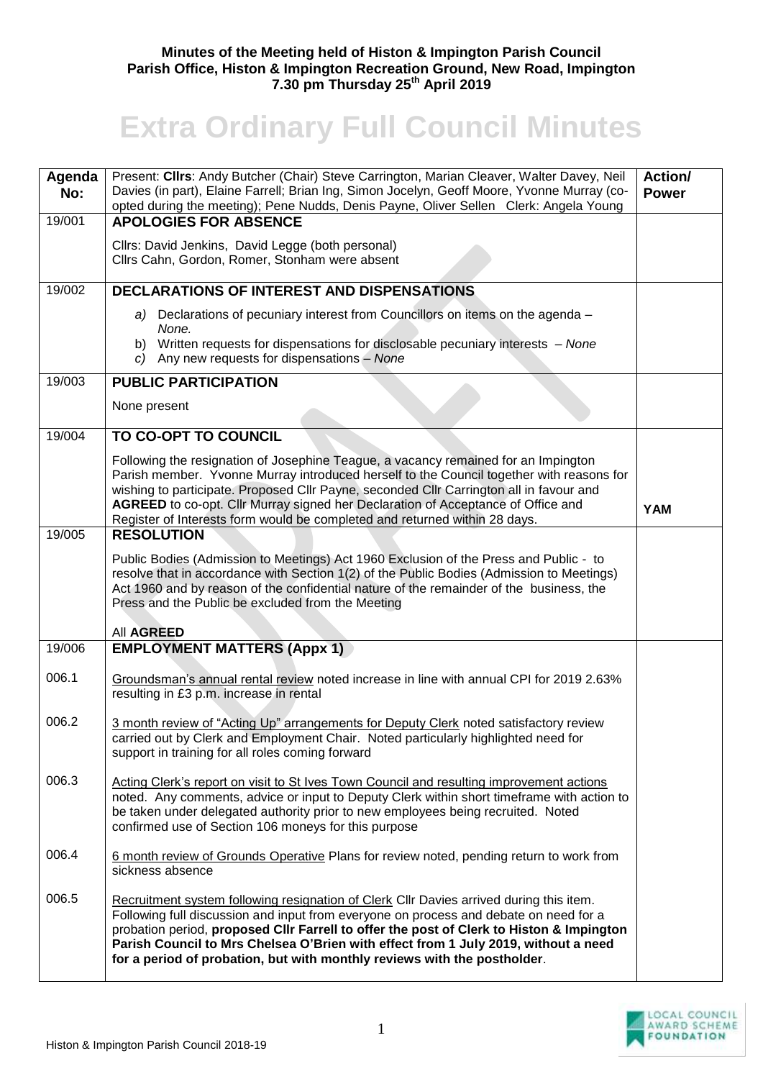## **Minutes of the Meeting held of Histon & Impington Parish Council Parish Office, Histon & Impington Recreation Ground, New Road, Impington 7.30 pm Thursday 25th April 2019**

## **Extra Ordinary Full Council Minutes**

| Agenda<br>No: | Present: Cllrs: Andy Butcher (Chair) Steve Carrington, Marian Cleaver, Walter Davey, Neil<br>Davies (in part), Elaine Farrell; Brian Ing, Simon Jocelyn, Geoff Moore, Yvonne Murray (co-<br>opted during the meeting); Pene Nudds, Denis Payne, Oliver Sellen Clerk: Angela Young                                                                                                                                                              | <b>Action/</b><br><b>Power</b> |
|---------------|------------------------------------------------------------------------------------------------------------------------------------------------------------------------------------------------------------------------------------------------------------------------------------------------------------------------------------------------------------------------------------------------------------------------------------------------|--------------------------------|
| 19/001        | <b>APOLOGIES FOR ABSENCE</b>                                                                                                                                                                                                                                                                                                                                                                                                                   |                                |
|               | Cllrs: David Jenkins, David Legge (both personal)<br>Cllrs Cahn, Gordon, Romer, Stonham were absent                                                                                                                                                                                                                                                                                                                                            |                                |
| 19/002        | <b>DECLARATIONS OF INTEREST AND DISPENSATIONS</b>                                                                                                                                                                                                                                                                                                                                                                                              |                                |
|               | a) Declarations of pecuniary interest from Councillors on items on the agenda -<br>None.<br>b) Written requests for dispensations for disclosable pecuniary interests - None<br>c) Any new requests for dispensations - None                                                                                                                                                                                                                   |                                |
| 19/003        | <b>PUBLIC PARTICIPATION</b>                                                                                                                                                                                                                                                                                                                                                                                                                    |                                |
|               | None present                                                                                                                                                                                                                                                                                                                                                                                                                                   |                                |
| 19/004        | TO CO-OPT TO COUNCIL                                                                                                                                                                                                                                                                                                                                                                                                                           |                                |
|               | Following the resignation of Josephine Teague, a vacancy remained for an Impington<br>Parish member. Yvonne Murray introduced herself to the Council together with reasons for<br>wishing to participate. Proposed Cllr Payne, seconded Cllr Carrington all in favour and<br>AGREED to co-opt. Cllr Murray signed her Declaration of Acceptance of Office and<br>Register of Interests form would be completed and returned within 28 days.    | <b>YAM</b>                     |
| 19/005        | <b>RESOLUTION</b>                                                                                                                                                                                                                                                                                                                                                                                                                              |                                |
|               | Public Bodies (Admission to Meetings) Act 1960 Exclusion of the Press and Public - to<br>resolve that in accordance with Section 1(2) of the Public Bodies (Admission to Meetings)<br>Act 1960 and by reason of the confidential nature of the remainder of the business, the<br>Press and the Public be excluded from the Meeting                                                                                                             |                                |
|               | All AGREED                                                                                                                                                                                                                                                                                                                                                                                                                                     |                                |
| 19/006        | <b>EMPLOYMENT MATTERS (Appx 1)</b>                                                                                                                                                                                                                                                                                                                                                                                                             |                                |
| 006.1         | Groundsman's annual rental review noted increase in line with annual CPI for 2019 2.63%<br>resulting in £3 p.m. increase in rental                                                                                                                                                                                                                                                                                                             |                                |
| 006.2         | 3 month review of "Acting Up" arrangements for Deputy Clerk noted satisfactory review<br>carried out by Clerk and Employment Chair. Noted particularly highlighted need for<br>support in training for all roles coming forward                                                                                                                                                                                                                |                                |
| 006.3         | Acting Clerk's report on visit to St Ives Town Council and resulting improvement actions<br>noted. Any comments, advice or input to Deputy Clerk within short timeframe with action to<br>be taken under delegated authority prior to new employees being recruited. Noted<br>confirmed use of Section 106 moneys for this purpose                                                                                                             |                                |
| 006.4         | 6 month review of Grounds Operative Plans for review noted, pending return to work from<br>sickness absence                                                                                                                                                                                                                                                                                                                                    |                                |
| 006.5         | Recruitment system following resignation of Clerk Cllr Davies arrived during this item.<br>Following full discussion and input from everyone on process and debate on need for a<br>probation period, proposed Cllr Farrell to offer the post of Clerk to Histon & Impington<br>Parish Council to Mrs Chelsea O'Brien with effect from 1 July 2019, without a need<br>for a period of probation, but with monthly reviews with the postholder. |                                |